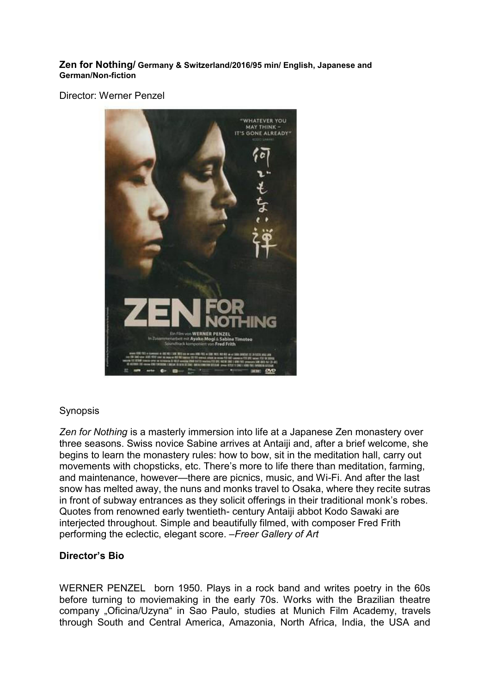#### **Zen for Nothing/ Germany & Switzerland/2016/95 min/ English, Japanese and German/Non-fiction**

Director: Werner Penzel



### **Synopsis**

*Zen for Nothing* is a masterly immersion into life at a Japanese Zen monastery over three seasons. Swiss novice Sabine arrives at Antaiji and, after a brief welcome, she begins to learn the monastery rules: how to bow, sit in the meditation hall, carry out movements with chopsticks, etc. There's more to life there than meditation, farming, and maintenance, however—there are picnics, music, and Wi-Fi. And after the last snow has melted away, the nuns and monks travel to Osaka, where they recite sutras in front of subway entrances as they solicit offerings in their traditional monk's robes. Quotes from renowned early twentieth- century Antaiji abbot Kodo Sawaki are interjected throughout. Simple and beautifully filmed, with composer Fred Frith performing the eclectic, elegant score. *–Freer Gallery of Art* 

#### **Director's Bio**

WERNER PENZEL born 1950. Plays in a rock band and writes poetry in the 60s before turning to moviemaking in the early 70s. Works with the Brazilian theatre company "Oficina/Uzyna" in Sao Paulo, studies at Munich Film Academy, travels through South and Central America, Amazonia, North Africa, India, the USA and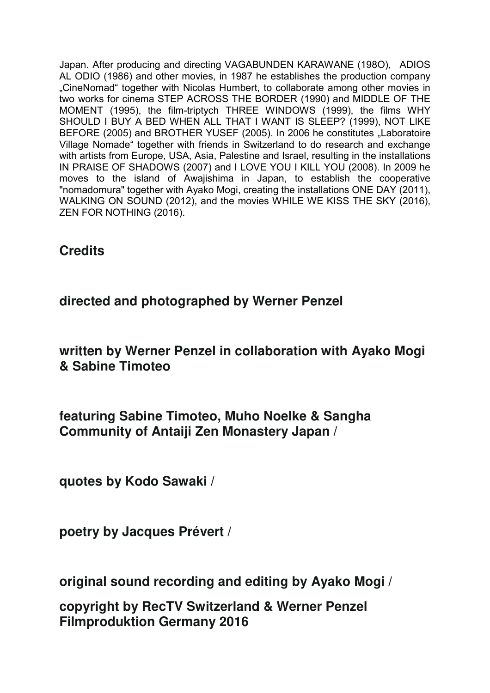Japan. After producing and directing VAGABUNDEN KARAWANE (198O), ADIOS AL ODIO (1986) and other movies, in 1987 he establishes the production company "CineNomad" together with Nicolas Humbert, to collaborate among other movies in two works for cinema STEP ACROSS THE BORDER (1990) and MIDDLE OF THE MOMENT (1995), the film-triptych THREE WINDOWS (1999), the films WHY SHOULD I BUY A BED WHEN ALL THAT I WANT IS SLEEP? (1999), NOT LIKE BEFORE (2005) and BROTHER YUSEF (2005). In 2006 he constitutes "Laboratoire Village Nomade" together with friends in Switzerland to do research and exchange with artists from Europe, USA, Asia, Palestine and Israel, resulting in the installations IN PRAISE OF SHADOWS (2007) and I LOVE YOU I KILL YOU (2008). In 2009 he moves to the island of Awajishima in Japan, to establish the cooperative "nomadomura" together with Ayako Mogi, creating the installations ONE DAY (2011), WALKING ON SOUND (2012), and the movies WHILE WE KISS THE SKY (2016), ZEN FOR NOTHING (2016).

**Credits** 

**directed and photographed by Werner Penzel** 

**written by Werner Penzel in collaboration with Ayako Mogi & Sabine Timoteo** 

**featuring Sabine Timoteo, Muho Noelke & Sangha Community of Antaiji Zen Monastery Japan /** 

**quotes by Kodo Sawaki /** 

**poetry by Jacques Prévert /** 

**original sound recording and editing by Ayako Mogi /** 

**copyright by RecTV Switzerland & Werner Penzel Filmproduktion Germany 2016**